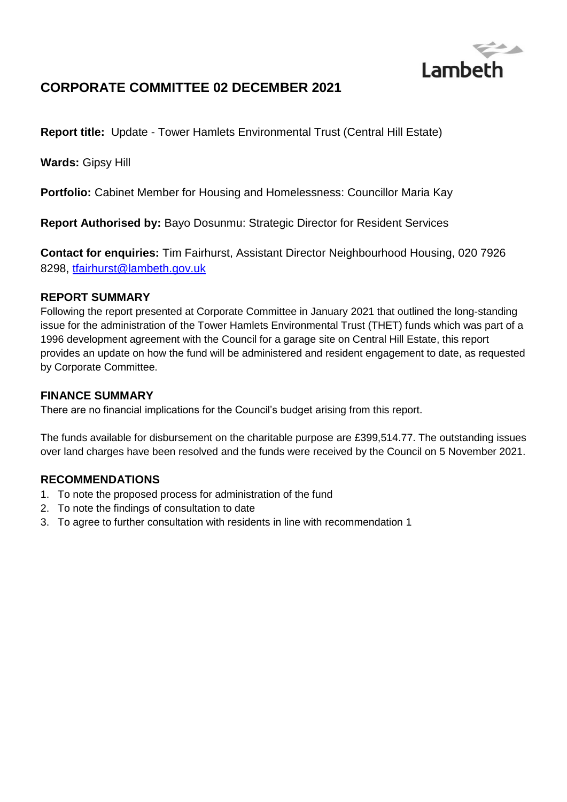

# **CORPORATE COMMITTEE 02 DECEMBER 2021**

**Report title:** Update - Tower Hamlets Environmental Trust (Central Hill Estate)

**Wards:** Gipsy Hill

**Portfolio:** Cabinet Member for Housing and Homelessness: Councillor Maria Kay

**Report Authorised by:** Bayo Dosunmu: Strategic Director for Resident Services

**Contact for enquiries:** Tim Fairhurst, Assistant Director Neighbourhood Housing, 020 7926 8298, [tfairhurst@lambeth.gov.uk](mailto:tfairhurst@lambeth.gov.uk)

#### **REPORT SUMMARY**

Following the report presented at Corporate Committee in January 2021 that outlined the long-standing issue for the administration of the Tower Hamlets Environmental Trust (THET) funds which was part of a 1996 development agreement with the Council for a garage site on Central Hill Estate, this report provides an update on how the fund will be administered and resident engagement to date, as requested by Corporate Committee.

### **FINANCE SUMMARY**

There are no financial implications for the Council's budget arising from this report.

The funds available for disbursement on the charitable purpose are £399,514.77. The outstanding issues over land charges have been resolved and the funds were received by the Council on 5 November 2021.

### **RECOMMENDATIONS**

- 1. To note the proposed process for administration of the fund
- 2. To note the findings of consultation to date
- 3. To agree to further consultation with residents in line with recommendation 1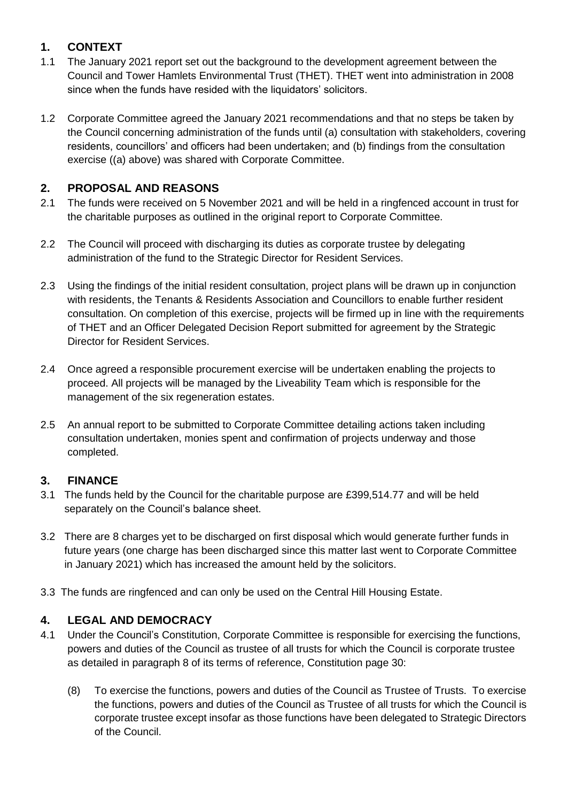## **1. CONTEXT**

- 1.1 The January 2021 report set out the background to the development agreement between the Council and Tower Hamlets Environmental Trust (THET). THET went into administration in 2008 since when the funds have resided with the liquidators' solicitors.
- 1.2 Corporate Committee agreed the January 2021 recommendations and that no steps be taken by the Council concerning administration of the funds until (a) consultation with stakeholders, covering residents, councillors' and officers had been undertaken; and (b) findings from the consultation exercise ((a) above) was shared with Corporate Committee.

## **2. PROPOSAL AND REASONS**

- 2.1 The funds were received on 5 November 2021 and will be held in a ringfenced account in trust for the charitable purposes as outlined in the original report to Corporate Committee.
- 2.2 The Council will proceed with discharging its duties as corporate trustee by delegating administration of the fund to the Strategic Director for Resident Services.
- 2.3 Using the findings of the initial resident consultation, project plans will be drawn up in conjunction with residents, the Tenants & Residents Association and Councillors to enable further resident consultation. On completion of this exercise, projects will be firmed up in line with the requirements of THET and an Officer Delegated Decision Report submitted for agreement by the Strategic Director for Resident Services.
- 2.4 Once agreed a responsible procurement exercise will be undertaken enabling the projects to proceed. All projects will be managed by the Liveability Team which is responsible for the management of the six regeneration estates.
- 2.5 An annual report to be submitted to Corporate Committee detailing actions taken including consultation undertaken, monies spent and confirmation of projects underway and those completed.

## **3. FINANCE**

- 3.1 The funds held by the Council for the charitable purpose are £399,514.77 and will be held separately on the Council's balance sheet.
- 3.2 There are 8 charges yet to be discharged on first disposal which would generate further funds in future years (one charge has been discharged since this matter last went to Corporate Committee in January 2021) which has increased the amount held by the solicitors.
- 3.3 The funds are ringfenced and can only be used on the Central Hill Housing Estate.

## **4. LEGAL AND DEMOCRACY**

- 4.1 Under the Council's Constitution, Corporate Committee is responsible for exercising the functions, powers and duties of the Council as trustee of all trusts for which the Council is corporate trustee as detailed in paragraph 8 of its terms of reference, Constitution page 30:
	- (8) To exercise the functions, powers and duties of the Council as Trustee of Trusts. To exercise the functions, powers and duties of the Council as Trustee of all trusts for which the Council is corporate trustee except insofar as those functions have been delegated to Strategic Directors of the Council.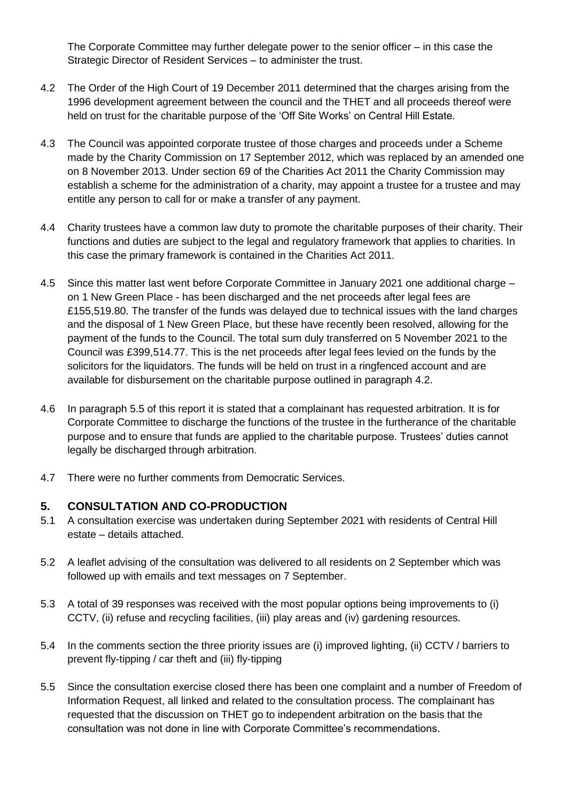The Corporate Committee may further delegate power to the senior officer – in this case the Strategic Director of Resident Services – to administer the trust.

- 4.2 The Order of the High Court of 19 December 2011 determined that the charges arising from the 1996 development agreement between the council and the THET and all proceeds thereof were held on trust for the charitable purpose of the 'Off Site Works' on Central Hill Estate.
- 4.3 The Council was appointed corporate trustee of those charges and proceeds under a Scheme made by the Charity Commission on 17 September 2012, which was replaced by an amended one on 8 November 2013. Under section 69 of the Charities Act 2011 the Charity Commission may establish a scheme for the administration of a charity, may appoint a trustee for a trustee and may entitle any person to call for or make a transfer of any payment.
- 4.4 Charity trustees have a common law duty to promote the charitable purposes of their charity. Their functions and duties are subject to the legal and regulatory framework that applies to charities. In this case the primary framework is contained in the Charities Act 2011.
- 4.5 Since this matter last went before Corporate Committee in January 2021 one additional charge on 1 New Green Place - has been discharged and the net proceeds after legal fees are £155,519.80. The transfer of the funds was delayed due to technical issues with the land charges and the disposal of 1 New Green Place, but these have recently been resolved, allowing for the payment of the funds to the Council. The total sum duly transferred on 5 November 2021 to the Council was £399,514.77. This is the net proceeds after legal fees levied on the funds by the solicitors for the liquidators. The funds will be held on trust in a ringfenced account and are available for disbursement on the charitable purpose outlined in paragraph 4.2.
- 4.6 In paragraph 5.5 of this report it is stated that a complainant has requested arbitration. It is for Corporate Committee to discharge the functions of the trustee in the furtherance of the charitable purpose and to ensure that funds are applied to the charitable purpose. Trustees' duties cannot legally be discharged through arbitration.
- 4.7 There were no further comments from Democratic Services.

### **5. CONSULTATION AND CO-PRODUCTION**

- 5.1 A consultation exercise was undertaken during September 2021 with residents of Central Hill estate – details attached.
- 5.2 A leaflet advising of the consultation was delivered to all residents on 2 September which was followed up with emails and text messages on 7 September.
- 5.3 A total of 39 responses was received with the most popular options being improvements to (i) CCTV, (ii) refuse and recycling facilities, (iii) play areas and (iv) gardening resources.
- 5.4 In the comments section the three priority issues are (i) improved lighting, (ii) CCTV / barriers to prevent fly-tipping / car theft and (iii) fly-tipping
- 5.5 Since the consultation exercise closed there has been one complaint and a number of Freedom of Information Request, all linked and related to the consultation process. The complainant has requested that the discussion on THET go to independent arbitration on the basis that the consultation was not done in line with Corporate Committee's recommendations.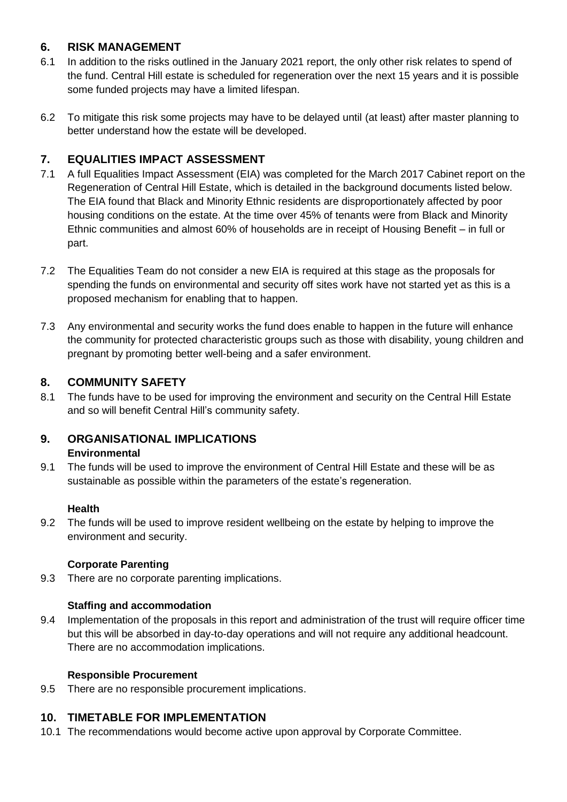## **6. RISK MANAGEMENT**

- 6.1 In addition to the risks outlined in the January 2021 report, the only other risk relates to spend of the fund. Central Hill estate is scheduled for regeneration over the next 15 years and it is possible some funded projects may have a limited lifespan.
- 6.2 To mitigate this risk some projects may have to be delayed until (at least) after master planning to better understand how the estate will be developed.

## **7. EQUALITIES IMPACT ASSESSMENT**

- 7.1 A full Equalities Impact Assessment (EIA) was completed for the March 2017 Cabinet report on the Regeneration of Central Hill Estate, which is detailed in the background documents listed below. The EIA found that Black and Minority Ethnic residents are disproportionately affected by poor housing conditions on the estate. At the time over 45% of tenants were from Black and Minority Ethnic communities and almost 60% of households are in receipt of Housing Benefit – in full or part.
- 7.2 The Equalities Team do not consider a new EIA is required at this stage as the proposals for spending the funds on environmental and security off sites work have not started yet as this is a proposed mechanism for enabling that to happen.
- 7.3 Any environmental and security works the fund does enable to happen in the future will enhance the community for protected characteristic groups such as those with disability, young children and pregnant by promoting better well-being and a safer environment.

## **8. COMMUNITY SAFETY**

8.1 The funds have to be used for improving the environment and security on the Central Hill Estate and so will benefit Central Hill's community safety.

## **9. ORGANISATIONAL IMPLICATIONS Environmental**

9.1 The funds will be used to improve the environment of Central Hill Estate and these will be as sustainable as possible within the parameters of the estate's regeneration.

### **Health**

9.2 The funds will be used to improve resident wellbeing on the estate by helping to improve the environment and security.

## **Corporate Parenting**

9.3 There are no corporate parenting implications.

## **Staffing and accommodation**

9.4 Implementation of the proposals in this report and administration of the trust will require officer time but this will be absorbed in day-to-day operations and will not require any additional headcount. There are no accommodation implications.

### **Responsible Procurement**

9.5 There are no responsible procurement implications.

## **10. TIMETABLE FOR IMPLEMENTATION**

10.1 The recommendations would become active upon approval by Corporate Committee.